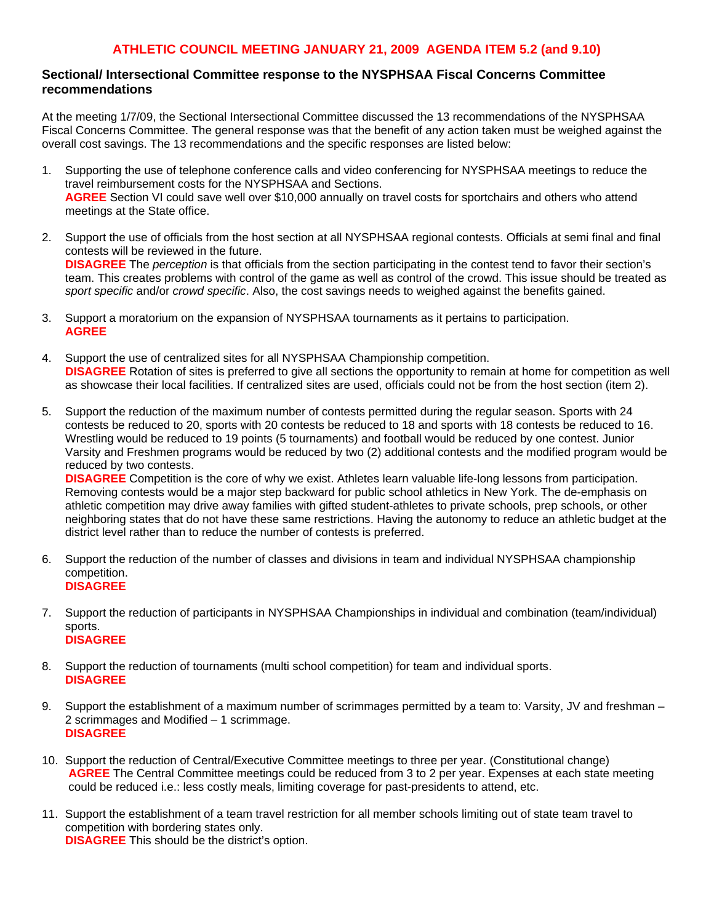## **ATHLETIC COUNCIL MEETING JANUARY 21, 2009 AGENDA ITEM 5.2 (and 9.10)**

## **Sectional/ Intersectional Committee response to the NYSPHSAA Fiscal Concerns Committee recommendations**

At the meeting 1/7/09, the Sectional Intersectional Committee discussed the 13 recommendations of the NYSPHSAA Fiscal Concerns Committee. The general response was that the benefit of any action taken must be weighed against the overall cost savings. The 13 recommendations and the specific responses are listed below:

- 1. Supporting the use of telephone conference calls and video conferencing for NYSPHSAA meetings to reduce the travel reimbursement costs for the NYSPHSAA and Sections. **AGREE** Section VI could save well over \$10,000 annually on travel costs for sportchairs and others who attend meetings at the State office.
- 2. Support the use of officials from the host section at all NYSPHSAA regional contests. Officials at semi final and final contests will be reviewed in the future. **DISAGREE** The *perception* is that officials from the section participating in the contest tend to favor their section's team. This creates problems with control of the game as well as control of the crowd. This issue should be treated as *sport specific* and/or *crowd specific*. Also, the cost savings needs to weighed against the benefits gained.
- 3. Support a moratorium on the expansion of NYSPHSAA tournaments as it pertains to participation. **AGREE**
- 4. Support the use of centralized sites for all NYSPHSAA Championship competition. **DISAGREE** Rotation of sites is preferred to give all sections the opportunity to remain at home for competition as well as showcase their local facilities. If centralized sites are used, officials could not be from the host section (item 2).
- 5. Support the reduction of the maximum number of contests permitted during the regular season. Sports with 24 contests be reduced to 20, sports with 20 contests be reduced to 18 and sports with 18 contests be reduced to 16. Wrestling would be reduced to 19 points (5 tournaments) and football would be reduced by one contest. Junior Varsity and Freshmen programs would be reduced by two (2) additional contests and the modified program would be reduced by two contests.

**DISAGREE** Competition is the core of why we exist. Athletes learn valuable life-long lessons from participation. Removing contests would be a major step backward for public school athletics in New York. The de-emphasis on athletic competition may drive away families with gifted student-athletes to private schools, prep schools, or other neighboring states that do not have these same restrictions. Having the autonomy to reduce an athletic budget at the district level rather than to reduce the number of contests is preferred.

- 6. Support the reduction of the number of classes and divisions in team and individual NYSPHSAA championship competition. **DISAGREE**
- 7. Support the reduction of participants in NYSPHSAA Championships in individual and combination (team/individual) sports. **DISAGREE**
- 8. Support the reduction of tournaments (multi school competition) for team and individual sports. **DISAGREE**
- 9. Support the establishment of a maximum number of scrimmages permitted by a team to: Varsity, JV and freshman 2 scrimmages and Modified – 1 scrimmage. **DISAGREE**
- 10. Support the reduction of Central/Executive Committee meetings to three per year. (Constitutional change) **AGREE** The Central Committee meetings could be reduced from 3 to 2 per year. Expenses at each state meeting could be reduced i.e.: less costly meals, limiting coverage for past-presidents to attend, etc.
- 11. Support the establishment of a team travel restriction for all member schools limiting out of state team travel to competition with bordering states only. **DISAGREE** This should be the district's option.